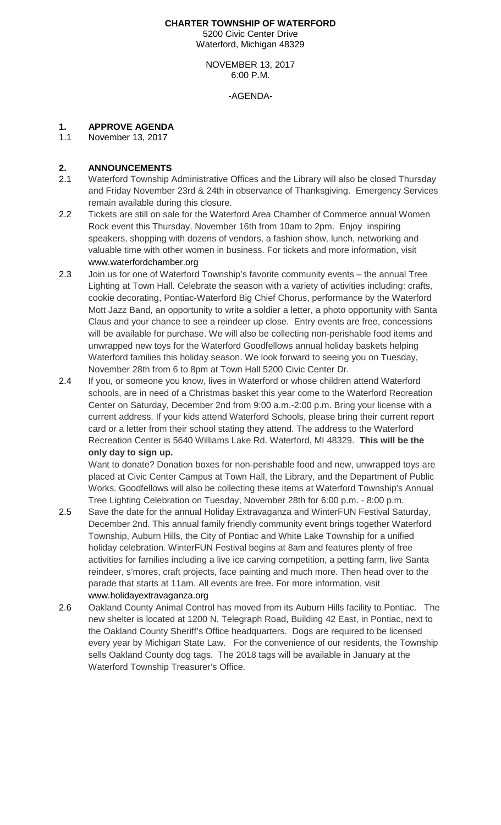#### **CHARTER TOWNSHIP OF WATERFORD** 5200 Civic Center Drive Waterford, Michigan 48329

NOVEMBER 13, 2017 6:00 P.M.

-AGENDA-

## **1. APPROVE AGENDA**

November 13, 2017

# 2. **ANNOUNCEMENTS**<br>2.1 Waterford Township

- Waterford Township Administrative Offices and the Library will also be closed Thursday and Friday November 23rd & 24th in observance of Thanksgiving. Emergency Services remain available during this closure.
- 2.2 Tickets are still on sale for the Waterford Area Chamber of Commerce annual Women Rock event this Thursday, November 16th from 10am to 2pm. Enjoy inspiring speakers, shopping with dozens of vendors, a fashion show, lunch, networking and valuable time with other women in business. For tickets and more information, visit [www.waterfordchamber.org](http://www.waterfordchamber.org/)
- 2.3 Join us for one of Waterford Township's favorite community events the annual Tree Lighting at Town Hall. Celebrate the season with a variety of activities including: crafts, cookie decorating, Pontiac-Waterford Big Chief Chorus, performance by the Waterford Mott Jazz Band, an opportunity to write a soldier a letter, a photo opportunity with Santa Claus and your chance to see a reindeer up close. Entry events are free, concessions will be available for purchase. We will also be collecting non-perishable food items and unwrapped new toys for the Waterford Goodfellows annual holiday baskets helping Waterford families this holiday season. We look forward to seeing you on Tuesday, November 28th from 6 to 8pm at Town Hall 5200 Civic Center Dr.
- 2.4 If you, or someone you know, lives in Waterford or whose children attend Waterford schools, are in need of a Christmas basket this year come to the Waterford Recreation Center on Saturday, December 2nd from 9:00 a.m.-2:00 p.m. Bring your license with a current address. If your kids attend Waterford Schools, please bring their current report card or a letter from their school stating they attend. The address to the Waterford Recreation Center is 5640 Williams Lake Rd. Waterford, MI 48329. **This will be the only day to sign up.**

Want to donate? Donation boxes for non-perishable food and new, unwrapped toys are placed at Civic Center Campus at Town Hall, the Library, and the Department of Public Works. Goodfellows will also be collecting these items at Waterford Township's Annual Tree Lighting Celebration on Tuesday, November 28th for 6:00 p.m. - 8:00 p.m.

- 2.5 Save the date for the annual Holiday Extravaganza and WinterFUN Festival Saturday, December 2nd. This annual family friendly community event brings together Waterford Township, Auburn Hills, the City of Pontiac and White Lake Township for a unified holiday celebration. WinterFUN Festival begins at 8am and features plenty of free activities for families including a live ice carving competition, a petting farm, live Santa reindeer, s'mores, craft projects, face painting and much more. Then head over to the parade that starts at 11am. All events are free. For more information, visit [www.holidayextravaganza.org](http://www.holidayextravaganza.org/)
- 2.6 Oakland County Animal Control has moved from its Auburn Hills facility to Pontiac. The new shelter is located at 1200 N. Telegraph Road, Building 42 East, in Pontiac, next to the Oakland County Sheriff's Office headquarters. Dogs are required to be licensed every year by Michigan State Law. For the convenience of our residents, the Township sells Oakland County dog tags. The 2018 tags will be available in January at the Waterford Township Treasurer's Office.